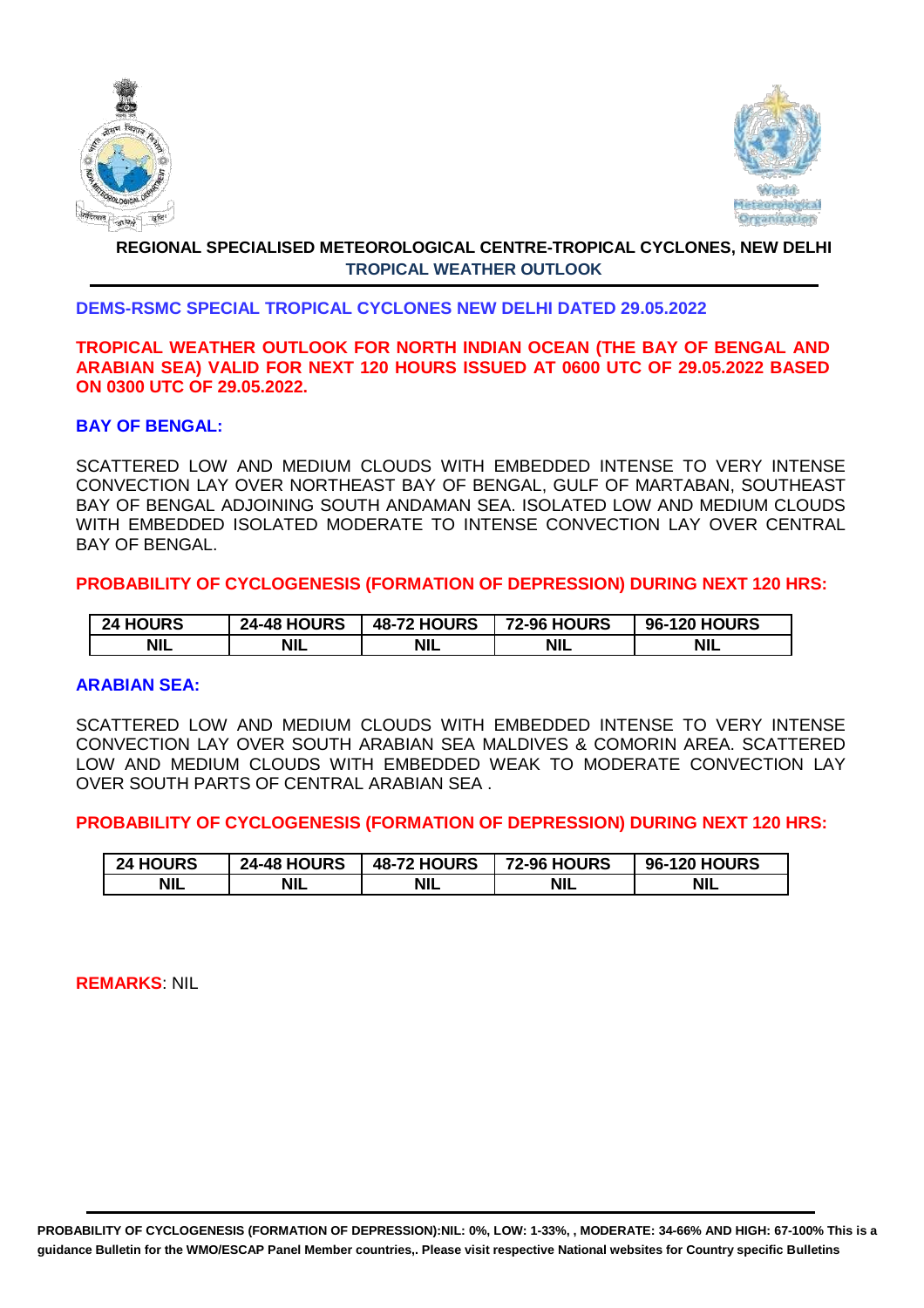



# **REGIONAL SPECIALISED METEOROLOGICAL CENTRE-TROPICAL CYCLONES, NEW DELHI TROPICAL WEATHER OUTLOOK**

## **DEMS-RSMC SPECIAL TROPICAL CYCLONES NEW DELHI DATED 29.05.2022**

#### **TROPICAL WEATHER OUTLOOK FOR NORTH INDIAN OCEAN (THE BAY OF BENGAL AND ARABIAN SEA) VALID FOR NEXT 120 HOURS ISSUED AT 0600 UTC OF 29.05.2022 BASED ON 0300 UTC OF 29.05.2022.**

### **BAY OF BENGAL:**

SCATTERED LOW AND MEDIUM CLOUDS WITH EMBEDDED INTENSE TO VERY INTENSE CONVECTION LAY OVER NORTHEAST BAY OF BENGAL, GULF OF MARTABAN, SOUTHEAST BAY OF BENGAL ADJOINING SOUTH ANDAMAN SEA. ISOLATED LOW AND MEDIUM CLOUDS WITH EMBEDDED ISOLATED MODERATE TO INTENSE CONVECTION LAY OVER CENTRAL BAY OF BENGAL.

**PROBABILITY OF CYCLOGENESIS (FORMATION OF DEPRESSION) DURING NEXT 120 HRS:**

| <b>24 HOURS</b> | <b>24-48 HOURS</b> | <b>48-72 HOURS</b> | <b>72-96 HOURS</b> | <b>96-120 HOURS</b> |
|-----------------|--------------------|--------------------|--------------------|---------------------|
| <b>NIL</b>      | <b>NIL</b>         | <b>NIL</b>         | <b>NIL</b>         | <b>NIL</b>          |

#### **ARABIAN SEA:**

SCATTERED LOW AND MEDIUM CLOUDS WITH EMBEDDED INTENSE TO VERY INTENSE CONVECTION LAY OVER SOUTH ARABIAN SEA MALDIVES & COMORIN AREA. SCATTERED LOW AND MEDIUM CLOUDS WITH EMBEDDED WEAK TO MODERATE CONVECTION LAY OVER SOUTH PARTS OF CENTRAL ARABIAN SEA .

**PROBABILITY OF CYCLOGENESIS (FORMATION OF DEPRESSION) DURING NEXT 120 HRS:**

| <b>24 HOURS</b> | <b>24-48 HOURS</b> | <b>48-72 HOURS</b> | <b>72-96 HOURS</b> | <b>96-120 HOURS</b> |
|-----------------|--------------------|--------------------|--------------------|---------------------|
| <b>NIL</b>      | <b>NIL</b>         | <b>NIL</b>         | <b>NIL</b>         | <b>NIL</b>          |

**REMARKS**: NIL